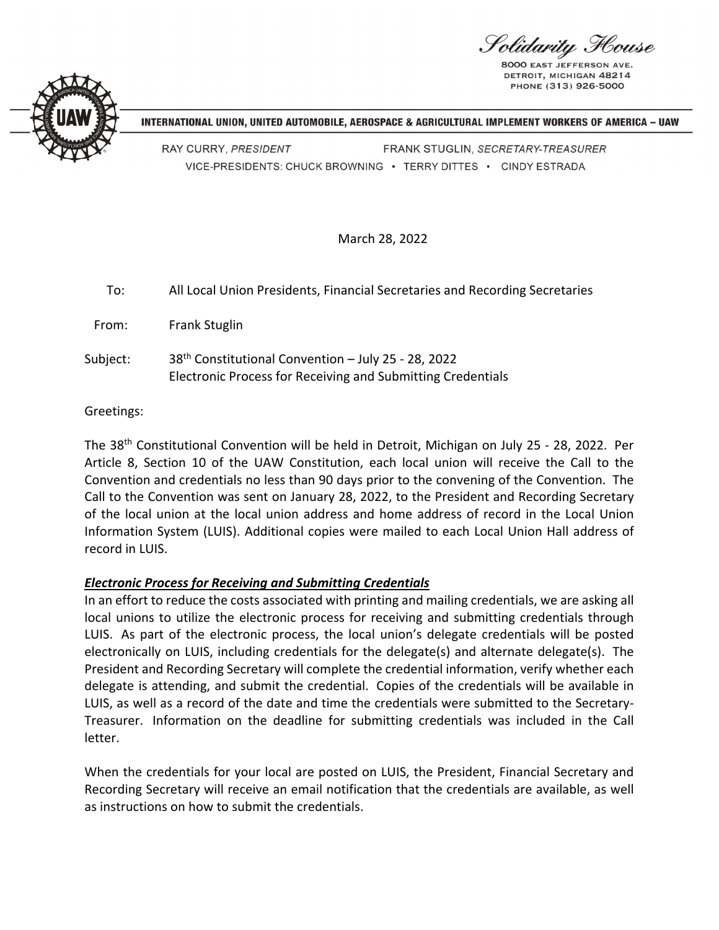'olidarity House

8000 EAST JEFFERSO DETROIT, MICHIGAN 48214 PHONE (313) 926-5000



INTERNATIONAL UNION, UNITED AUTOMOBILE, AEROSPACE & AGRICULTURAL IMPLEMENT WORKERS OF AMERICA - UAW

RAY CURRY, PRESIDENT FRANK STUGLIN, SECRETARY-TREASURER VICE-PRESIDENTS: CHUCK BROWNING · TERRY DITTES · CINDY ESTRADA

March 28, 2022

| To:      | All Local Union Presidents, Financial Secretaries and Recording Secretaries                                                    |
|----------|--------------------------------------------------------------------------------------------------------------------------------|
| From:    | <b>Frank Stuglin</b>                                                                                                           |
| Subject: | 38 <sup>th</sup> Constitutional Convention - July 25 - 28, 2022<br>Electronic Process for Receiving and Submitting Credentials |

Greetings:

The 38<sup>th</sup> Constitutional Convention will be held in Detroit, Michigan on July 25 - 28, 2022. Per Article 8, Section 10 of the UAW Constitution, each local union will receive the Call to the Convention and credentials no less than 90 days prior to the convening of the Convention. The Call to the Convention was sent on January 28, 2022, to the President and Recording Secretary of the local union at the local union address and home address of record in the Local Union Information System (LUIS). Additional copies were mailed to each Local Union Hall address of record in LUIS.

## *Electronic Process for Receiving and Submitting Credentials*

In an effort to reduce the costs associated with printing and mailing credentials, we are asking all local unions to utilize the electronic process for receiving and submitting credentials through LUIS. As part of the electronic process, the local union's delegate credentials will be posted electronically on LUIS, including credentials for the delegate(s) and alternate delegate(s). The President and Recording Secretary will complete the credential information, verify whether each delegate is attending, and submit the credential. Copies of the credentials will be available in LUIS, as well as a record of the date and time the credentials were submitted to the Secretary‐ Treasurer. Information on the deadline for submitting credentials was included in the Call letter.

When the credentials for your local are posted on LUIS, the President, Financial Secretary and Recording Secretary will receive an email notification that the credentials are available, as well as instructions on how to submit the credentials.